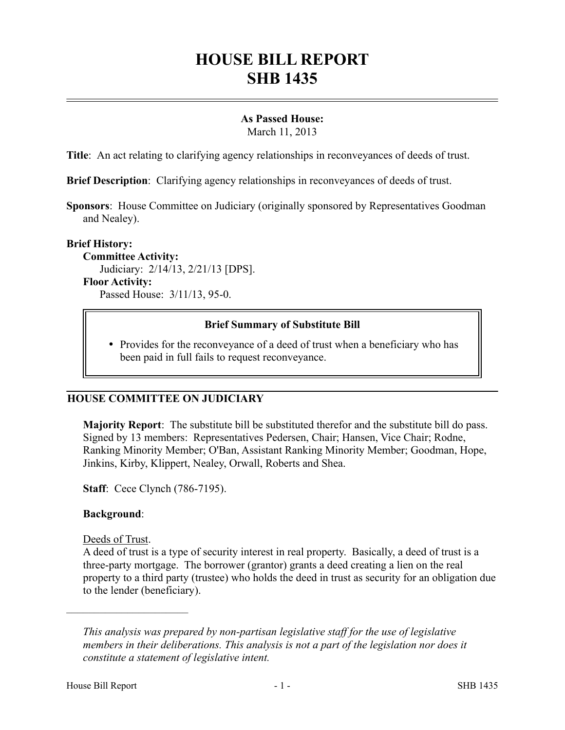# **HOUSE BILL REPORT SHB 1435**

## **As Passed House:**

March 11, 2013

**Title**: An act relating to clarifying agency relationships in reconveyances of deeds of trust.

**Brief Description**: Clarifying agency relationships in reconveyances of deeds of trust.

**Sponsors**: House Committee on Judiciary (originally sponsored by Representatives Goodman and Nealey).

#### **Brief History:**

**Committee Activity:** Judiciary: 2/14/13, 2/21/13 [DPS]. **Floor Activity:** Passed House: 3/11/13, 95-0.

### **Brief Summary of Substitute Bill**

• Provides for the reconveyance of a deed of trust when a beneficiary who has been paid in full fails to request reconveyance.

### **HOUSE COMMITTEE ON JUDICIARY**

**Majority Report**: The substitute bill be substituted therefor and the substitute bill do pass. Signed by 13 members: Representatives Pedersen, Chair; Hansen, Vice Chair; Rodne, Ranking Minority Member; O'Ban, Assistant Ranking Minority Member; Goodman, Hope, Jinkins, Kirby, Klippert, Nealey, Orwall, Roberts and Shea.

**Staff**: Cece Clynch (786-7195).

### **Background**:

Deeds of Trust.

––––––––––––––––––––––

A deed of trust is a type of security interest in real property. Basically, a deed of trust is a three-party mortgage. The borrower (grantor) grants a deed creating a lien on the real property to a third party (trustee) who holds the deed in trust as security for an obligation due to the lender (beneficiary).

*This analysis was prepared by non-partisan legislative staff for the use of legislative members in their deliberations. This analysis is not a part of the legislation nor does it constitute a statement of legislative intent.*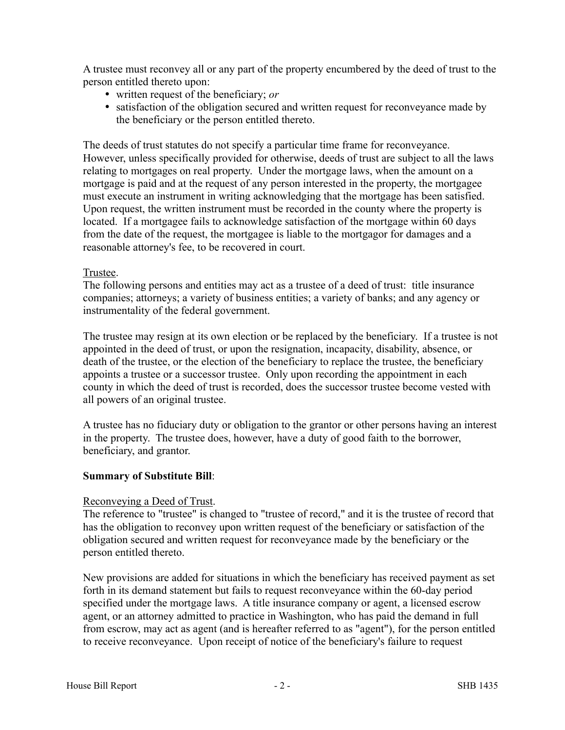A trustee must reconvey all or any part of the property encumbered by the deed of trust to the person entitled thereto upon:

- written request of the beneficiary; *or*
- satisfaction of the obligation secured and written request for reconveyance made by the beneficiary or the person entitled thereto.

The deeds of trust statutes do not specify a particular time frame for reconveyance. However, unless specifically provided for otherwise, deeds of trust are subject to all the laws relating to mortgages on real property. Under the mortgage laws, when the amount on a mortgage is paid and at the request of any person interested in the property, the mortgagee must execute an instrument in writing acknowledging that the mortgage has been satisfied. Upon request, the written instrument must be recorded in the county where the property is located. If a mortgagee fails to acknowledge satisfaction of the mortgage within 60 days from the date of the request, the mortgagee is liable to the mortgagor for damages and a reasonable attorney's fee, to be recovered in court.

### Trustee.

The following persons and entities may act as a trustee of a deed of trust: title insurance companies; attorneys; a variety of business entities; a variety of banks; and any agency or instrumentality of the federal government.

The trustee may resign at its own election or be replaced by the beneficiary. If a trustee is not appointed in the deed of trust, or upon the resignation, incapacity, disability, absence, or death of the trustee, or the election of the beneficiary to replace the trustee, the beneficiary appoints a trustee or a successor trustee. Only upon recording the appointment in each county in which the deed of trust is recorded, does the successor trustee become vested with all powers of an original trustee.

A trustee has no fiduciary duty or obligation to the grantor or other persons having an interest in the property. The trustee does, however, have a duty of good faith to the borrower, beneficiary, and grantor.

### **Summary of Substitute Bill**:

#### Reconveying a Deed of Trust.

The reference to "trustee" is changed to "trustee of record," and it is the trustee of record that has the obligation to reconvey upon written request of the beneficiary or satisfaction of the obligation secured and written request for reconveyance made by the beneficiary or the person entitled thereto.

New provisions are added for situations in which the beneficiary has received payment as set forth in its demand statement but fails to request reconveyance within the 60-day period specified under the mortgage laws. A title insurance company or agent, a licensed escrow agent, or an attorney admitted to practice in Washington, who has paid the demand in full from escrow, may act as agent (and is hereafter referred to as "agent"), for the person entitled to receive reconveyance. Upon receipt of notice of the beneficiary's failure to request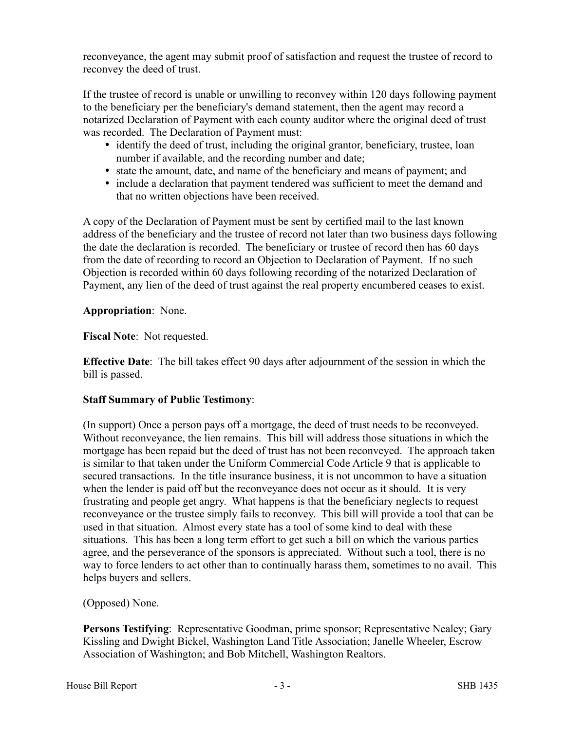reconveyance, the agent may submit proof of satisfaction and request the trustee of record to reconvey the deed of trust.

If the trustee of record is unable or unwilling to reconvey within 120 days following payment to the beneficiary per the beneficiary's demand statement, then the agent may record a notarized Declaration of Payment with each county auditor where the original deed of trust was recorded. The Declaration of Payment must:

- identify the deed of trust, including the original grantor, beneficiary, trustee, loan number if available, and the recording number and date;
- state the amount, date, and name of the beneficiary and means of payment; and
- include a declaration that payment tendered was sufficient to meet the demand and that no written objections have been received.

A copy of the Declaration of Payment must be sent by certified mail to the last known address of the beneficiary and the trustee of record not later than two business days following the date the declaration is recorded. The beneficiary or trustee of record then has 60 days from the date of recording to record an Objection to Declaration of Payment. If no such Objection is recorded within 60 days following recording of the notarized Declaration of Payment, any lien of the deed of trust against the real property encumbered ceases to exist.

### **Appropriation**: None.

**Fiscal Note**: Not requested.

**Effective Date**: The bill takes effect 90 days after adjournment of the session in which the bill is passed.

# **Staff Summary of Public Testimony**:

(In support) Once a person pays off a mortgage, the deed of trust needs to be reconveyed. Without reconveyance, the lien remains. This bill will address those situations in which the mortgage has been repaid but the deed of trust has not been reconveyed. The approach taken is similar to that taken under the Uniform Commercial Code Article 9 that is applicable to secured transactions. In the title insurance business, it is not uncommon to have a situation when the lender is paid off but the reconveyance does not occur as it should. It is very frustrating and people get angry. What happens is that the beneficiary neglects to request reconveyance or the trustee simply fails to reconvey. This bill will provide a tool that can be used in that situation. Almost every state has a tool of some kind to deal with these situations. This has been a long term effort to get such a bill on which the various parties agree, and the perseverance of the sponsors is appreciated. Without such a tool, there is no way to force lenders to act other than to continually harass them, sometimes to no avail. This helps buyers and sellers.

# (Opposed) None.

**Persons Testifying:** Representative Goodman, prime sponsor; Representative Nealey; Gary Kissling and Dwight Bickel, Washington Land Title Association; Janelle Wheeler, Escrow Association of Washington; and Bob Mitchell, Washington Realtors.